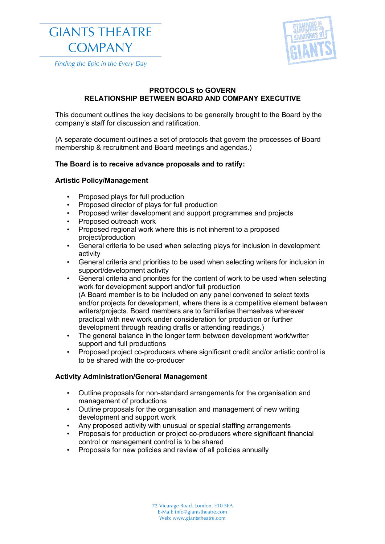



## **PROTOCOLS to GOVERN RELATIONSHIP BETWEEN BOARD AND COMPANY EXECUTIVE**

This document outlines the key decisions to be generally brought to the Board by the company's staff for discussion and ratification.

(A separate document outlines a set of protocols that govern the processes of Board membership & recruitment and Board meetings and agendas.)

# **The Board is to receive advance proposals and to ratify:**

## **Artistic Policy/Management**

- Proposed plays for full production
- Proposed director of plays for full production
- Proposed writer development and support programmes and projects
- Proposed outreach work
- Proposed regional work where this is not inherent to a proposed project/production
- General criteria to be used when selecting plays for inclusion in development activity
- General criteria and priorities to be used when selecting writers for inclusion in support/development activity
- General criteria and priorities for the content of work to be used when selecting work for development support and/or full production (A Board member is to be included on any panel convened to select texts and/or projects for development, where there is a competitive element between writers/projects. Board members are to familiarise themselves wherever practical with new work under consideration for production or further development through reading drafts or attending readings.)
- The general balance in the longer term between development work/writer support and full productions
- Proposed project co-producers where significant credit and/or artistic control is to be shared with the co-producer

### **Activity Administration/General Management**

- Outline proposals for non-standard arrangements for the organisation and management of productions
- Outline proposals for the organisation and management of new writing development and support work
- Any proposed activity with unusual or special staffing arrangements
- Proposals for production or project co-producers where significant financial control or management control is to be shared
- Proposals for new policies and review of all policies annually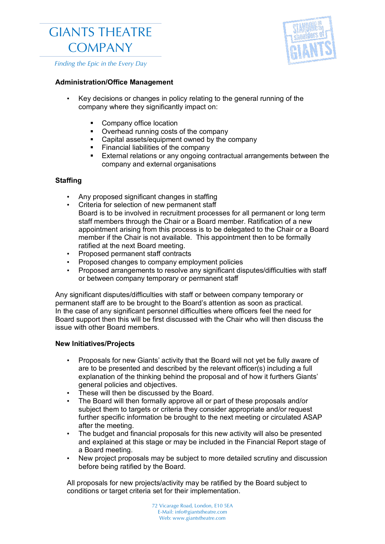



## **Administration/Office Management**

- Key decisions or changes in policy relating to the general running of the company where they significantly impact on:
	- Company office location
	- Overhead running costs of the company
	- Capital assets/equipment owned by the company
	- **Financial liabilities of the company**
	- External relations or any ongoing contractual arrangements between the company and external organisations

# **Staffing**

- Any proposed significant changes in staffing
- Criteria for selection of new permanent staff Board is to be involved in recruitment processes for all permanent or long term staff members through the Chair or a Board member. Ratification of a new appointment arising from this process is to be delegated to the Chair or a Board member if the Chair is not available. This appointment then to be formally ratified at the next Board meeting.
- Proposed permanent staff contracts
- Proposed changes to company employment policies
- Proposed arrangements to resolve any significant disputes/difficulties with staff or between company temporary or permanent staff

Any significant disputes/difficulties with staff or between company temporary or permanent staff are to be brought to the Board's attention as soon as practical. In the case of any significant personnel difficulties where officers feel the need for Board support then this will be first discussed with the Chair who will then discuss the issue with other Board members.

### **New Initiatives/Projects**

- Proposals for new Giants' activity that the Board will not yet be fully aware of are to be presented and described by the relevant officer(s) including a full explanation of the thinking behind the proposal and of how it furthers Giants' general policies and objectives.
- These will then be discussed by the Board.
- The Board will then formally approve all or part of these proposals and/or subject them to targets or criteria they consider appropriate and/or request further specific information be brought to the next meeting or circulated ASAP after the meeting.
- The budget and financial proposals for this new activity will also be presented and explained at this stage or may be included in the Financial Report stage of a Board meeting.
- New project proposals may be subject to more detailed scrutiny and discussion before being ratified by the Board.

All proposals for new projects/activity may be ratified by the Board subject to conditions or target criteria set for their implementation.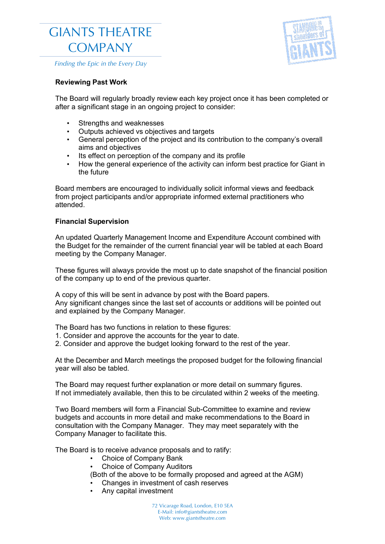



# **Reviewing Past Work**

The Board will regularly broadly review each key project once it has been completed or after a significant stage in an ongoing project to consider:

- Strengths and weaknesses
- Outputs achieved vs objectives and targets
- General perception of the project and its contribution to the company's overall aims and objectives
- Its effect on perception of the company and its profile
- How the general experience of the activity can inform best practice for Giant in the future

Board members are encouraged to individually solicit informal views and feedback from project participants and/or appropriate informed external practitioners who attended.

### **Financial Supervision**

An updated Quarterly Management Income and Expenditure Account combined with the Budget for the remainder of the current financial year will be tabled at each Board meeting by the Company Manager.

These figures will always provide the most up to date snapshot of the financial position of the company up to end of the previous quarter.

A copy of this will be sent in advance by post with the Board papers. Any significant changes since the last set of accounts or additions will be pointed out and explained by the Company Manager.

The Board has two functions in relation to these figures:

- 1. Consider and approve the accounts for the year to date.
- 2. Consider and approve the budget looking forward to the rest of the year.

At the December and March meetings the proposed budget for the following financial year will also be tabled.

The Board may request further explanation or more detail on summary figures. If not immediately available, then this to be circulated within 2 weeks of the meeting.

Two Board members will form a Financial Sub-Committee to examine and review budgets and accounts in more detail and make recommendations to the Board in consultation with the Company Manager. They may meet separately with the Company Manager to facilitate this.

The Board is to receive advance proposals and to ratify:

- Choice of Company Bank
- Choice of Company Auditors
- (Both of the above to be formally proposed and agreed at the AGM)
- Changes in investment of cash reserves
- Any capital investment